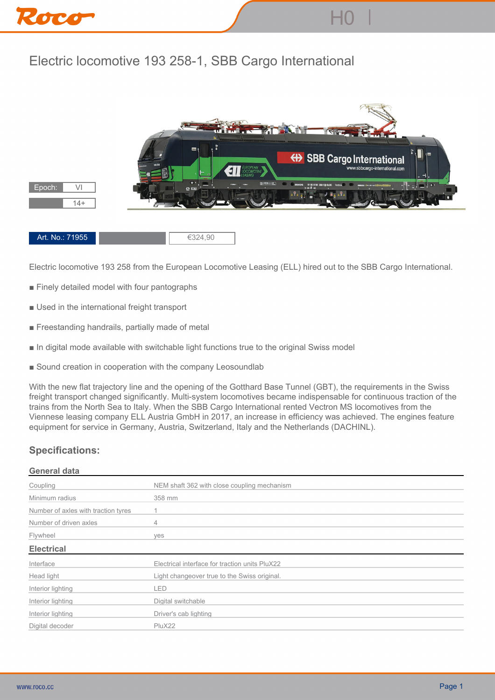## **Electric locomotive 193 258-1, SBB Cargo International**



**Electric locomotive 193 258 from the European Locomotive Leasing (ELL) hired out to the SBB Cargo International.**

- **Finely detailed model with four pantographs**
- **Used in the international freight transport**
- **Freestanding handrails, partially made of metal**
- **In digital mode available with switchable light functions true to the original Swiss model**
- Sound creation in cooperation with the company Leosoundlab

**With the new flat trajectory line and the opening of the Gotthard Base Tunnel (GBT), the requirements in the Swiss freight transport changed significantly. Multi-system locomotives became indispensable for continuous traction of the trains from the North Sea to Italy. When the SBB Cargo International rented Vectron MS locomotives from the Viennese leasing company ELL Austria GmbH in 2017, an increase in efficiency was achieved. The engines feature equipment for service in Germany, Austria, Switzerland, Italy and the Netherlands (DACHINL).**

## **Specifications:**

| <b>General data</b>                 |                                                |
|-------------------------------------|------------------------------------------------|
| Coupling                            | NEM shaft 362 with close coupling mechanism    |
| Minimum radius                      | 358 mm                                         |
| Number of axles with traction tyres |                                                |
| Number of driven axles              | 4                                              |
| Flywheel                            | yes                                            |
| <b>Electrical</b>                   |                                                |
| Interface                           | Electrical interface for traction units PluX22 |
| Head light                          | Light changeover true to the Swiss original.   |
| Interior lighting                   | LED                                            |
| Interior lighting                   | Digital switchable                             |
| Interior lighting                   | Driver's cab lighting                          |
| Digital decoder                     | PluX22                                         |